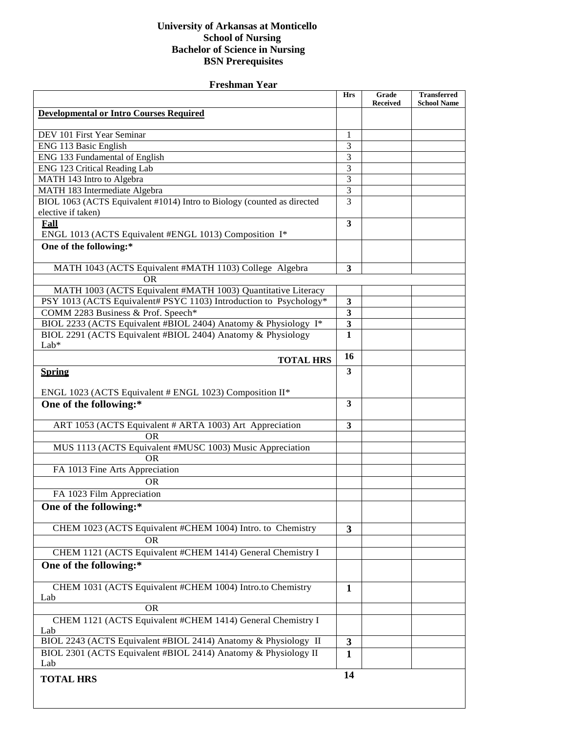## **University of Arkansas at Monticello School of Nursing Bachelor of Science in Nursing BSN Prerequisites**

| <b>Freshman Year</b>                                                    |                         |                          |                                          |  |
|-------------------------------------------------------------------------|-------------------------|--------------------------|------------------------------------------|--|
|                                                                         | <b>Hrs</b>              | Grade<br><b>Received</b> | <b>Transferred</b><br><b>School Name</b> |  |
| <b>Developmental or Intro Courses Required</b>                          |                         |                          |                                          |  |
| DEV 101 First Year Seminar                                              | 1                       |                          |                                          |  |
| ENG 113 Basic English                                                   | 3                       |                          |                                          |  |
| ENG 133 Fundamental of English                                          | 3                       |                          |                                          |  |
| ENG 123 Critical Reading Lab                                            | $\overline{3}$          |                          |                                          |  |
| MATH 143 Intro to Algebra                                               | $\overline{3}$          |                          |                                          |  |
| MATH 183 Intermediate Algebra                                           | $\overline{3}$          |                          |                                          |  |
| BIOL 1063 (ACTS Equivalent #1014) Intro to Biology (counted as directed | $\overline{3}$          |                          |                                          |  |
| elective if taken)                                                      |                         |                          |                                          |  |
| <b>Fall</b>                                                             | $\overline{\mathbf{3}}$ |                          |                                          |  |
| ENGL 1013 (ACTS Equivalent #ENGL 1013) Composition I*                   |                         |                          |                                          |  |
| One of the following:*                                                  |                         |                          |                                          |  |
| MATH 1043 (ACTS Equivalent #MATH 1103) College Algebra                  | $\mathbf{3}$            |                          |                                          |  |
| <b>OR</b>                                                               |                         |                          |                                          |  |
| MATH 1003 (ACTS Equivalent #MATH 1003) Quantitative Literacy            |                         |                          |                                          |  |
| PSY 1013 (ACTS Equivalent# PSYC 1103) Introduction to Psychology*       | 3                       |                          |                                          |  |
| COMM 2283 Business & Prof. Speech*                                      | $\overline{\mathbf{3}}$ |                          |                                          |  |
| BIOL 2233 (ACTS Equivalent #BIOL 2404) Anatomy & Physiology I*          | 3                       |                          |                                          |  |
| BIOL 2291 (ACTS Equivalent #BIOL 2404) Anatomy & Physiology             | 1                       |                          |                                          |  |
| Lab*                                                                    |                         |                          |                                          |  |
| <b>TOTAL HRS</b>                                                        | 16                      |                          |                                          |  |
| <b>Spring</b>                                                           | 3                       |                          |                                          |  |
| ENGL 1023 (ACTS Equivalent # ENGL 1023) Composition II*                 |                         |                          |                                          |  |
| One of the following:*                                                  | 3                       |                          |                                          |  |
| ART 1053 (ACTS Equivalent # ARTA 1003) Art Appreciation                 | 3                       |                          |                                          |  |
| <b>OR</b>                                                               |                         |                          |                                          |  |
| MUS 1113 (ACTS Equivalent #MUSC 1003) Music Appreciation                |                         |                          |                                          |  |
| <b>OR</b>                                                               |                         |                          |                                          |  |
| FA 1013 Fine Arts Appreciation                                          |                         |                          |                                          |  |
| <b>OR</b>                                                               |                         |                          |                                          |  |
| FA 1023 Film Appreciation                                               |                         |                          |                                          |  |
| One of the following:*                                                  |                         |                          |                                          |  |
|                                                                         |                         |                          |                                          |  |
| CHEM 1023 (ACTS Equivalent #CHEM 1004) Intro. to Chemistry              | 3                       |                          |                                          |  |
| <b>OR</b>                                                               |                         |                          |                                          |  |
| CHEM 1121 (ACTS Equivalent #CHEM 1414) General Chemistry I              |                         |                          |                                          |  |
| One of the following:*                                                  |                         |                          |                                          |  |
| CHEM 1031 (ACTS Equivalent #CHEM 1004) Intro.to Chemistry               |                         |                          |                                          |  |
| Lab                                                                     | 1                       |                          |                                          |  |
| <b>OR</b>                                                               |                         |                          |                                          |  |
| CHEM 1121 (ACTS Equivalent #CHEM 1414) General Chemistry I<br>Lab       |                         |                          |                                          |  |
| BIOL 2243 (ACTS Equivalent #BIOL 2414) Anatomy & Physiology II          | 3                       |                          |                                          |  |
| BIOL 2301 (ACTS Equivalent #BIOL 2414) Anatomy & Physiology II          | $\mathbf{1}$            |                          |                                          |  |
| Lab                                                                     |                         |                          |                                          |  |
| <b>TOTAL HRS</b>                                                        | 14                      |                          |                                          |  |
|                                                                         |                         |                          |                                          |  |